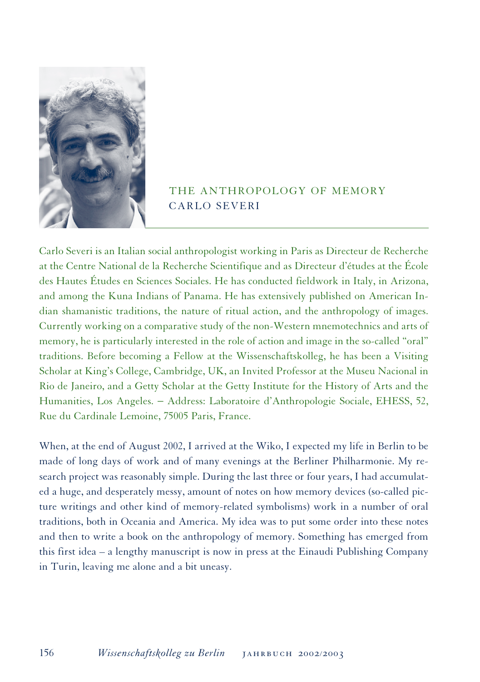

## THE ANTHROPOLOGY OF MEMORY CARLO SEVERI

Carlo Severi is an Italian social anthropologist working in Paris as Directeur de Recherche at the Centre National de la Recherche Scientifique and as Directeur d'études at the École des Hautes Études en Sciences Sociales. He has conducted fieldwork in Italy, in Arizona, and among the Kuna Indians of Panama. He has extensively published on American Indian shamanistic traditions, the nature of ritual action, and the anthropology of images. Currently working on a comparative study of the non-Western mnemotechnics and arts of memory, he is particularly interested in the role of action and image in the so-called "oral" traditions. Before becoming a Fellow at the Wissenschaftskolleg, he has been a Visiting Scholar at King's College, Cambridge, UK, an Invited Professor at the Museu Nacional in Rio de Janeiro, and a Getty Scholar at the Getty Institute for the History of Arts and the Humanities, Los Angeles. − Address: Laboratoire d'Anthropologie Sociale, EHESS, 52, Rue du Cardinale Lemoine, 75005 Paris, France.

When, at the end of August 2002, I arrived at the Wiko, I expected my life in Berlin to be made of long days of work and of many evenings at the Berliner Philharmonie. My research project was reasonably simple. During the last three or four years, I had accumulated a huge, and desperately messy, amount of notes on how memory devices (so-called picture writings and other kind of memory-related symbolisms) work in a number of oral traditions, both in Oceania and America. My idea was to put some order into these notes and then to write a book on the anthropology of memory. Something has emerged from this first idea – a lengthy manuscript is now in press at the Einaudi Publishing Company in Turin, leaving me alone and a bit uneasy.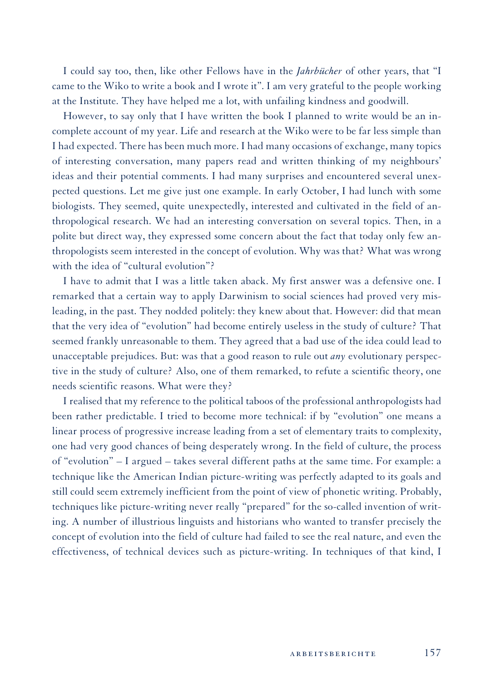I could say too, then, like other Fellows have in the *Jahrbücher* of other years, that "I came to the Wiko to write a book and I wrote it". I am very grateful to the people working at the Institute. They have helped me a lot, with unfailing kindness and goodwill.

However, to say only that I have written the book I planned to write would be an incomplete account of my year. Life and research at the Wiko were to be far less simple than I had expected. There has been much more. I had many occasions of exchange, many topics of interesting conversation, many papers read and written thinking of my neighbours' ideas and their potential comments. I had many surprises and encountered several unexpected questions. Let me give just one example. In early October, I had lunch with some biologists. They seemed, quite unexpectedly, interested and cultivated in the field of anthropological research. We had an interesting conversation on several topics. Then, in a polite but direct way, they expressed some concern about the fact that today only few anthropologists seem interested in the concept of evolution. Why was that? What was wrong with the idea of "cultural evolution"?

I have to admit that I was a little taken aback. My first answer was a defensive one. I remarked that a certain way to apply Darwinism to social sciences had proved very misleading, in the past. They nodded politely: they knew about that. However: did that mean that the very idea of "evolution" had become entirely useless in the study of culture? That seemed frankly unreasonable to them. They agreed that a bad use of the idea could lead to unacceptable prejudices. But: was that a good reason to rule out *any* evolutionary perspective in the study of culture? Also, one of them remarked, to refute a scientific theory, one needs scientific reasons. What were they?

I realised that my reference to the political taboos of the professional anthropologists had been rather predictable. I tried to become more technical: if by "evolution" one means a linear process of progressive increase leading from a set of elementary traits to complexity, one had very good chances of being desperately wrong. In the field of culture, the process of "evolution" – I argued – takes several different paths at the same time. For example: a technique like the American Indian picture-writing was perfectly adapted to its goals and still could seem extremely inefficient from the point of view of phonetic writing. Probably, techniques like picture-writing never really "prepared" for the so-called invention of writing. A number of illustrious linguists and historians who wanted to transfer precisely the concept of evolution into the field of culture had failed to see the real nature, and even the effectiveness, of technical devices such as picture-writing. In techniques of that kind, I